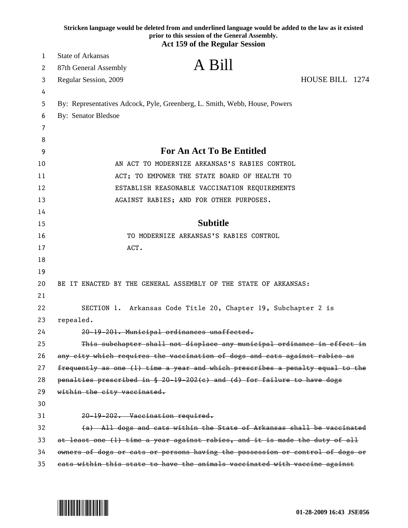|          | Stricken language would be deleted from and underlined language would be added to the law as it existed<br>prior to this session of the General Assembly.<br><b>Act 159 of the Regular Session</b> |
|----------|----------------------------------------------------------------------------------------------------------------------------------------------------------------------------------------------------|
| 1        | <b>State of Arkansas</b>                                                                                                                                                                           |
| 2        | A Bill<br>87th General Assembly                                                                                                                                                                    |
|          | HOUSE BILL 1274                                                                                                                                                                                    |
| 3        | Regular Session, 2009                                                                                                                                                                              |
| 4<br>5   | By: Representatives Adcock, Pyle, Greenberg, L. Smith, Webb, House, Powers                                                                                                                         |
| 6        | <b>By: Senator Bledsoe</b>                                                                                                                                                                         |
| 7        |                                                                                                                                                                                                    |
| 8        |                                                                                                                                                                                                    |
| 9        | <b>For An Act To Be Entitled</b>                                                                                                                                                                   |
| 10       | AN ACT TO MODERNIZE ARKANSAS'S RABIES CONTROL                                                                                                                                                      |
|          | ACT; TO EMPOWER THE STATE BOARD OF HEALTH TO                                                                                                                                                       |
| 11       |                                                                                                                                                                                                    |
| 12<br>13 | ESTABLISH REASONABLE VACCINATION REQUIREMENTS                                                                                                                                                      |
| 14       | AGAINST RABIES; AND FOR OTHER PURPOSES.                                                                                                                                                            |
| 15       | <b>Subtitle</b>                                                                                                                                                                                    |
| 16       | TO MODERNIZE ARKANSAS'S RABIES CONTROL                                                                                                                                                             |
| 17       | ACT.                                                                                                                                                                                               |
| 18       |                                                                                                                                                                                                    |
| 19       |                                                                                                                                                                                                    |
| 20       | BE IT ENACTED BY THE GENERAL ASSEMBLY OF THE STATE OF ARKANSAS:                                                                                                                                    |
| 21       |                                                                                                                                                                                                    |
| 22       | SECTION 1. Arkansas Code Title 20, Chapter 19, Subchapter 2 is                                                                                                                                     |
| 23       | repealed.                                                                                                                                                                                          |
| 24       | 20-19-201. Municipal ordinances unaffected.                                                                                                                                                        |
| 25       | This subchapter shall not displace any municipal ordinance in effect in                                                                                                                            |
| 26       | any city which requires the vaccination of dogs and cats against rabies as                                                                                                                         |
| 27       | frequently as one (1) time a year and which prescribes a penalty equal to the                                                                                                                      |
| 28       | penalties prescribed in § 20-19-202(c) and (d) for failure to have dogs                                                                                                                            |
| 29       | within the city vaccinated.                                                                                                                                                                        |
| 30       |                                                                                                                                                                                                    |
| 31       | 20-19-202. Vaccination required.                                                                                                                                                                   |
| 32       | (a) All dogs and cats within the State of Arkansas shall be vaccinated                                                                                                                             |
| 33       | at least one (1) time a year against rabies, and it is made the duty of all                                                                                                                        |
| 34       | owners of dogs or cats or persons having the possession or control of dogs or                                                                                                                      |
| 35       | eats within this state to have the animals vaccinated with vaccine against                                                                                                                         |

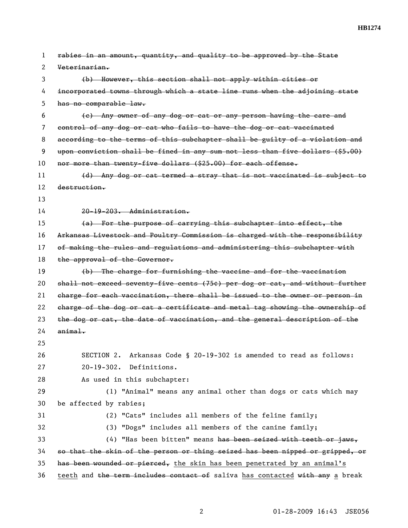| 1  | rabies in an amount, quantity, and quality to be approved by the State        |
|----|-------------------------------------------------------------------------------|
| 2  | Veterinarian.                                                                 |
| 3  | (b) However, this section shall not apply within cities or                    |
| 4  | incorporated towns through which a state line runs when the adjoining state   |
| 5  | has no comparable law.                                                        |
| 6  | (e) Any owner of any dog or cat or any person having the care and             |
| 7  | control of any dog or cat who fails to have the dog or cat vaccinated         |
| 8  | according to the terms of this subchapter shall be guilty of a violation and  |
| 9  | upon conviction shall be fined in any sum not less than five dollars (\$5.00) |
| 10 | nor more than twenty-five dollars (\$25.00) for each offense.                 |
| 11 | (d) Any dog or cat termed a stray that is not vaccinated is subject to        |
| 12 | destruction.                                                                  |
| 13 |                                                                               |
| 14 | 20-19-203. Administration.                                                    |
| 15 | (a) For the purpose of carrying this subchapter into effect, the              |
| 16 | Arkansas Livestock and Poultry Commission is charged with the responsibility  |
| 17 | of making the rules and regulations and administering this subchapter with    |
| 18 | the approval of the Governor.                                                 |
| 19 | (b) The charge for furnishing the vaccine and for the vaccination             |
| 20 | shall not exceed seventy-five cents (75¢) per dog or cat, and without further |
| 21 | charge for each vaccination, there shall be issued to the owner or person in  |
| 22 | charge of the dog or cat a certificate and metal tag showing the ownership of |
| 23 | the dog or cat, the date of vaccination, and the general description of the   |
| 24 | $anima1$ .                                                                    |
| 25 |                                                                               |
| 26 | SECTION 2. Arkansas Code § 20-19-302 is amended to read as follows:           |
| 27 | $20 - 19 - 302$ .<br>Definitions.                                             |
| 28 | As used in this subchapter:                                                   |
| 29 | (1) "Animal" means any animal other than dogs or cats which may               |
| 30 | be affected by rabies;                                                        |
| 31 | (2) "Cats" includes all members of the feline family;                         |
| 32 | (3) "Dogs" includes all members of the canine family;                         |
| 33 | $(4)$ "Has been bitten" means has been seized with teeth or jaws,             |
| 34 | so that the skin of the person or thing seized has been nipped or gripped, or |
| 35 | has been wounded or pierced, the skin has been penetrated by an animal's      |
| 36 | teeth and the term includes contact of saliva has contacted with any a break  |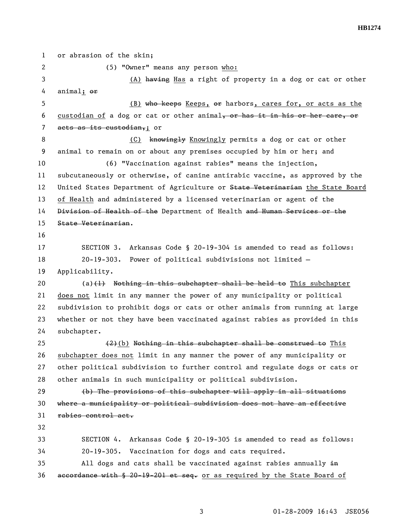1 or abrasion of the skin; 2 (5) "Owner" means any person who: 3 (A) having Has a right of property in a dog or cat or other 4 animal; or 5 (B) who keeps Keeps, or harbors, cares for, or acts as the 6 custodian of a dog or cat or other animal, or has it in his or her care, or 7 acts as its custodian,; or 8 (C) knowingly Knowingly permits a dog or cat or other 9 animal to remain on or about any premises occupied by him or her; and 10 (6) "Vaccination against rabies" means the injection, 11 subcutaneously or otherwise, of canine antirabic vaccine, as approved by the 12 United States Department of Agriculture or State Veterinarian the State Board 13 of Health and administered by a licensed veterinarian or agent of the 14 Division of Health of the Department of Health and Human Services or the 15 State Veterinarian. 16 17 SECTION 3. Arkansas Code § 20-19-304 is amended to read as follows: 18 20-19-303. Power of political subdivisions not limited — 19 Applicability. 20  $(a)$  (a)(1) Nothing in this subchapter shall be held to This subchapter 21 does not limit in any manner the power of any municipality or political 22 subdivision to prohibit dogs or cats or other animals from running at large 23 whether or not they have been vaccinated against rabies as provided in this 24 subchapter. 25  $(2)(b)$  Nothing in this subchapter shall be construed to This 26 subchapter does not limit in any manner the power of any municipality or 27 other political subdivision to further control and regulate dogs or cats or 28 other animals in such municipality or political subdivision. 29 (b) The provisions of this subchapter will apply in all situations 30 where a municipality or political subdivision does not have an effective 31 rabies control act. 32 33 SECTION 4. Arkansas Code § 20-19-305 is amended to read as follows: 34 20-19-305. Vaccination for dogs and cats required.  $35$  All dogs and cats shall be vaccinated against rabies annually  $\pm n$ 36 accordance with  $\S$  20-19-201 et seq. or as required by the State Board of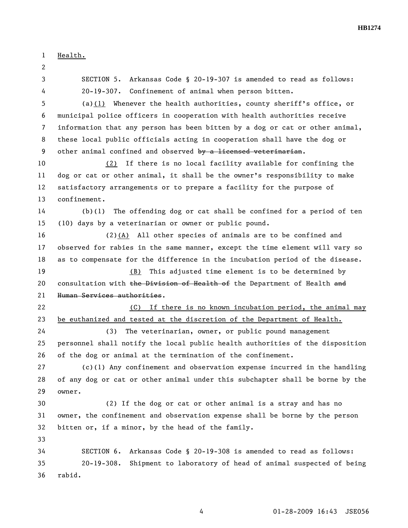**HB1274** 

1 Health. 2 3 SECTION 5. Arkansas Code § 20-19-307 is amended to read as follows: 4 20-19-307. Confinement of animal when person bitten. 5 (a)(1) Whenever the health authorities, county sheriff's office, or 6 municipal police officers in cooperation with health authorities receive 7 information that any person has been bitten by a dog or cat or other animal, 8 these local public officials acting in cooperation shall have the dog or 9 other animal confined and observed by a licensed veterinarian. 10 (2) If there is no local facility available for confining the 11 dog or cat or other animal, it shall be the owner's responsibility to make 12 satisfactory arrangements or to prepare a facility for the purpose of 13 confinement. 14 (b)(1) The offending dog or cat shall be confined for a period of ten 15 (10) days by a veterinarian or owner or public pound. 16 (2)(A) All other species of animals are to be confined and 17 observed for rabies in the same manner, except the time element will vary so 18 as to compensate for the difference in the incubation period of the disease. 19 (B) This adjusted time element is to be determined by 20 consultation with the Division of Health of the Department of Health and 21 Human Services authorities. 22 (C) If there is no known incubation period, the animal may 23 be euthanized and tested at the discretion of the Department of Health. 24 (3) The veterinarian, owner, or public pound management 25 personnel shall notify the local public health authorities of the disposition 26 of the dog or animal at the termination of the confinement. 27 (c)(1) Any confinement and observation expense incurred in the handling 28 of any dog or cat or other animal under this subchapter shall be borne by the 29 owner. 30 (2) If the dog or cat or other animal is a stray and has no 31 owner, the confinement and observation expense shall be borne by the person 32 bitten or, if a minor, by the head of the family. 33 34 SECTION 6. Arkansas Code § 20-19-308 is amended to read as follows: 35 20-19-308. Shipment to laboratory of head of animal suspected of being 36 rabid.